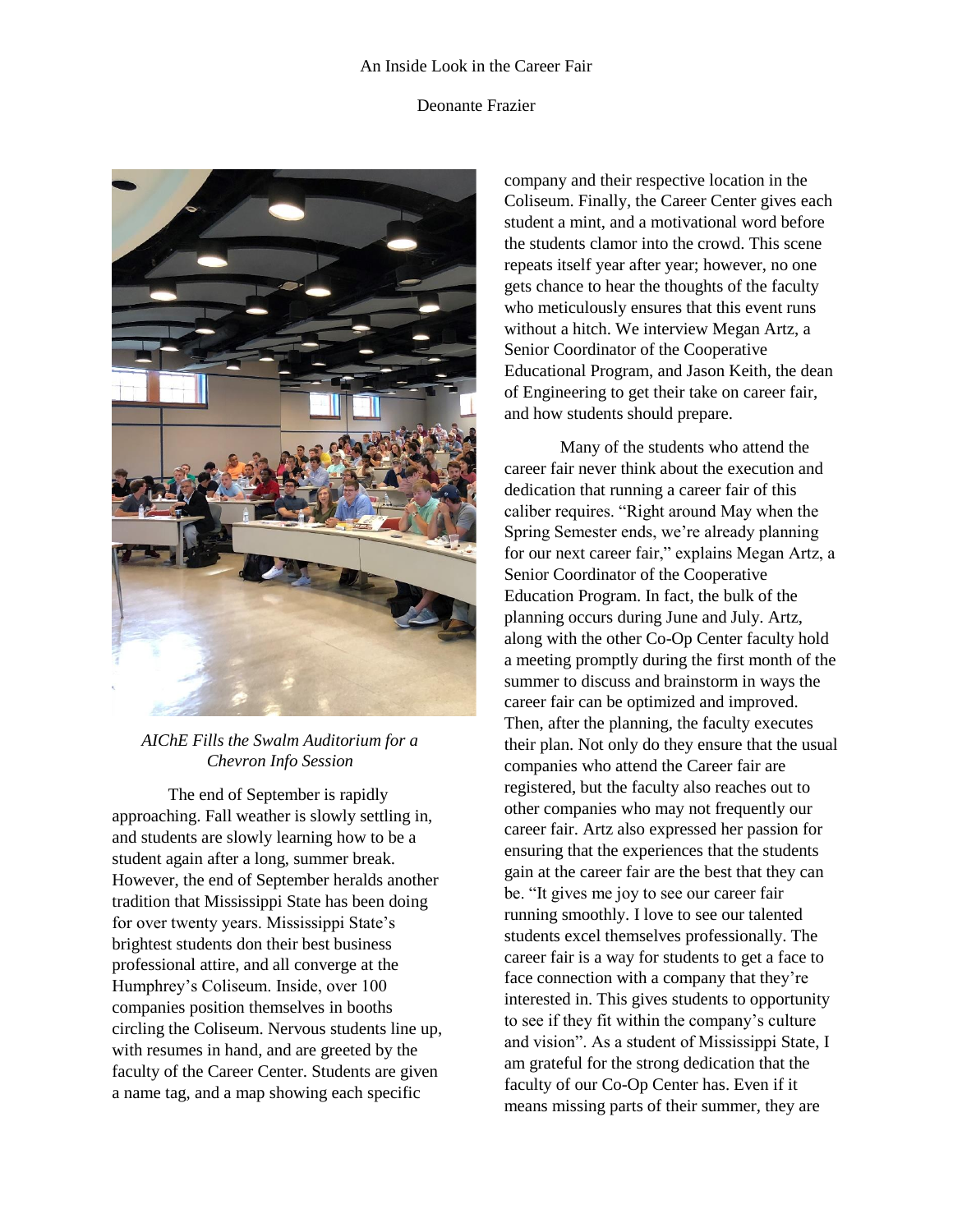## An Inside Look in the Career Fair

## Deonante Frazier



## *AIChE Fills the Swalm Auditorium for a Chevron Info Session*

The end of September is rapidly approaching. Fall weather is slowly settling in, and students are slowly learning how to be a student again after a long, summer break. However, the end of September heralds another tradition that Mississippi State has been doing for over twenty years. Mississippi State's brightest students don their best business professional attire, and all converge at the Humphrey's Coliseum. Inside, over 100 companies position themselves in booths circling the Coliseum. Nervous students line up, with resumes in hand, and are greeted by the faculty of the Career Center. Students are given a name tag, and a map showing each specific

company and their respective location in the Coliseum. Finally, the Career Center gives each student a mint, and a motivational word before the students clamor into the crowd. This scene repeats itself year after year; however, no one gets chance to hear the thoughts of the faculty who meticulously ensures that this event runs without a hitch. We interview Megan Artz, a Senior Coordinator of the Cooperative Educational Program, and Jason Keith, the dean of Engineering to get their take on career fair, and how students should prepare.

Many of the students who attend the career fair never think about the execution and dedication that running a career fair of this caliber requires. "Right around May when the Spring Semester ends, we're already planning for our next career fair," explains Megan Artz, a Senior Coordinator of the Cooperative Education Program. In fact, the bulk of the planning occurs during June and July. Artz, along with the other Co-Op Center faculty hold a meeting promptly during the first month of the summer to discuss and brainstorm in ways the career fair can be optimized and improved. Then, after the planning, the faculty executes their plan. Not only do they ensure that the usual companies who attend the Career fair are registered, but the faculty also reaches out to other companies who may not frequently our career fair. Artz also expressed her passion for ensuring that the experiences that the students gain at the career fair are the best that they can be. "It gives me joy to see our career fair running smoothly. I love to see our talented students excel themselves professionally. The career fair is a way for students to get a face to face connection with a company that they're interested in. This gives students to opportunity to see if they fit within the company's culture and vision". As a student of Mississippi State, I am grateful for the strong dedication that the faculty of our Co-Op Center has. Even if it means missing parts of their summer, they are